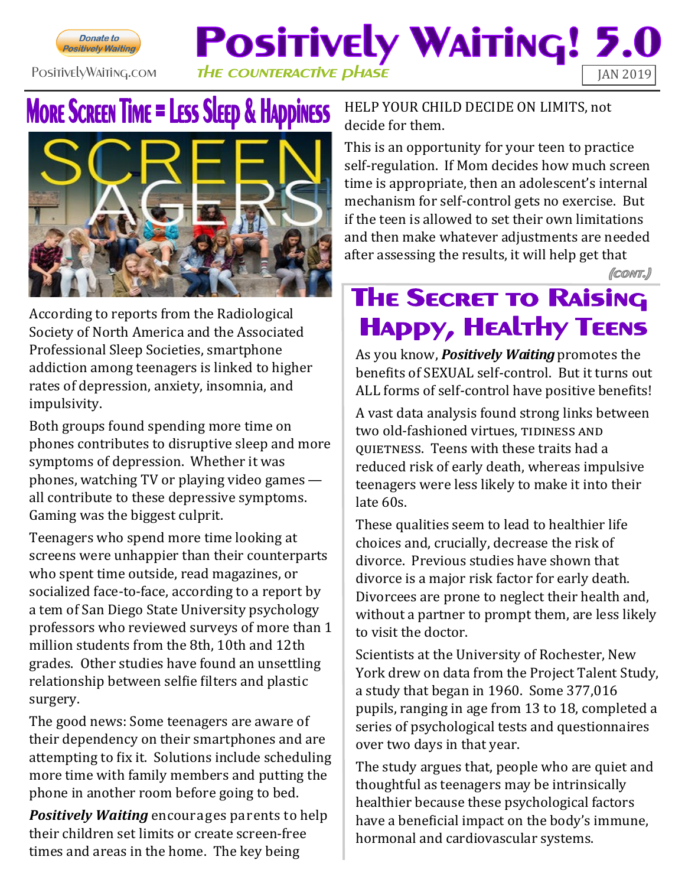

## **Positively Waiting! 5.**  $\blacksquare$ PositivelyWaiting.com THE COUNTERACTIVE PHASE



According to reports from the Radiological Society of North America and the Associated Professional Sleep Societies, smartphone addiction among teenagers is linked to higher rates of depression, anxiety, insomnia, and impulsivity.

Both groups found spending more time on phones contributes to disruptive sleep and more symptoms of depression. Whether it was phones, watching TV or playing video games all contribute to these depressive symptoms. Gaming was the biggest culprit.

Teenagers who spend more time looking at screens were unhappier than their counterparts who spent time outside, read magazines, or socialized face-to-face, according to a report by a tem of San Diego State University psychology professors who reviewed surveys of more than 1 million students from the 8th, 10th and 12th grades. Other studies have found an unsettling relationship between selfie filters and plastic surgery.

The good news: Some teenagers are aware of their dependency on their smartphones and are attempting to fix it. Solutions include scheduling more time with family members and putting the phone in another room before going to bed.

*Positively Waiting* encourages parents to help their children set limits or create screen-free times and areas in the home. The key being

HELP YOUR CHILD DECIDE ON LIMITS, not decide for them.

This is an opportunity for your teen to practice self-regulation. If Mom decides how much screen time is appropriate, then an adolescent's internal mechanism for self-control gets no exercise. But if the teen is allowed to set their own limitations and then make whatever adjustments are needed after assessing the results, it will help get that

(CONT.)

### **THE SECRET TO RAISING HAPPY, HEALTHY TEENS**

As you know, *Positively Waiting* promotes the benefits of SEXUAL self-control. But it turns out ALL forms of self-control have positive benefits!

A vast data analysis found strong links between two old-fashioned virtues, TIDINESS AND quietness. Teens with these traits had a reduced risk of early death, whereas impulsive teenagers were less likely to make it into their late 60s.

These qualities seem to lead to healthier life choices and, crucially, decrease the risk of divorce. Previous studies have shown that divorce is a major risk factor for early death. Divorcees are prone to neglect their health and, without a partner to prompt them, are less likely to visit the doctor.

Scientists at the University of Rochester, New York drew on data from the Project Talent Study, a study that began in 1960. Some 377,016 pupils, ranging in age from 13 to 18, completed a series of psychological tests and questionnaires over two days in that year.

The study argues that, people who are quiet and thoughtful as teenagers may be intrinsically healthier because these psychological factors have a beneficial impact on the body's immune, hormonal and cardiovascular systems.